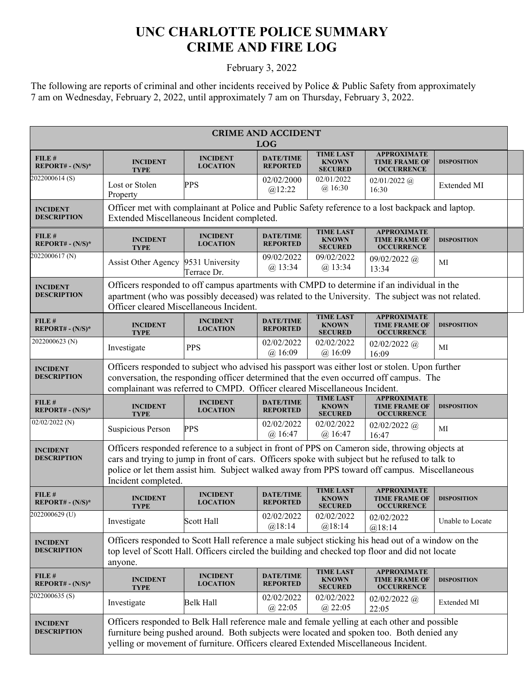## **UNC CHARLOTTE POLICE SUMMARY CRIME AND FIRE LOG**

## February 3, 2022

The following are reports of criminal and other incidents received by Police & Public Safety from approximately 7 am on Wednesday, February 2, 2022, until approximately 7 am on Thursday, February 3, 2022.

| <b>CRIME AND ACCIDENT</b><br><b>LOG</b> |                                                                                                                                                                                                                                                                                                                          |                                                                                                                                                                                                                                            |                                     |                                                    |                                                                 |                    |  |  |
|-----------------------------------------|--------------------------------------------------------------------------------------------------------------------------------------------------------------------------------------------------------------------------------------------------------------------------------------------------------------------------|--------------------------------------------------------------------------------------------------------------------------------------------------------------------------------------------------------------------------------------------|-------------------------------------|----------------------------------------------------|-----------------------------------------------------------------|--------------------|--|--|
| FILE#<br>$REPORT# - (N/S)*$             | <b>INCIDENT</b><br><b>TYPE</b>                                                                                                                                                                                                                                                                                           | <b>INCIDENT</b><br><b>LOCATION</b>                                                                                                                                                                                                         | <b>DATE/TIME</b><br><b>REPORTED</b> | <b>TIME LAST</b><br><b>KNOWN</b><br><b>SECURED</b> | <b>APPROXIMATE</b><br><b>TIME FRAME OF</b><br><b>OCCURRENCE</b> | <b>DISPOSITION</b> |  |  |
| 2022000614(S)                           | Lost or Stolen<br>Property                                                                                                                                                                                                                                                                                               | PPS                                                                                                                                                                                                                                        | 02/02/2000<br>@12:22                | 02/01/2022<br>$(a)$ 16:30                          | $02/01/2022$ (a)<br>16:30                                       | Extended MI        |  |  |
| <b>INCIDENT</b><br><b>DESCRIPTION</b>   | Officer met with complainant at Police and Public Safety reference to a lost backpack and laptop.<br>Extended Miscellaneous Incident completed.                                                                                                                                                                          |                                                                                                                                                                                                                                            |                                     |                                                    |                                                                 |                    |  |  |
| FILE #<br>REPORT# - $(N/S)^*$           | <b>INCIDENT</b><br><b>TYPE</b>                                                                                                                                                                                                                                                                                           | <b>INCIDENT</b><br><b>LOCATION</b>                                                                                                                                                                                                         | <b>DATE/TIME</b><br><b>REPORTED</b> | <b>TIME LAST</b><br><b>KNOWN</b><br><b>SECURED</b> | <b>APPROXIMATE</b><br><b>TIME FRAME OF</b><br><b>OCCURRENCE</b> | <b>DISPOSITION</b> |  |  |
| 2022000617(N)                           | <b>Assist Other Agency</b>                                                                                                                                                                                                                                                                                               | 9531 University<br>Terrace Dr.                                                                                                                                                                                                             | 09/02/2022<br>$(a)$ 13:34           | 09/02/2022<br>$(a)$ 13:34                          | $09/02/2022$ @<br>13:34                                         | MI                 |  |  |
| <b>INCIDENT</b><br><b>DESCRIPTION</b>   |                                                                                                                                                                                                                                                                                                                          | Officers responded to off campus apartments with CMPD to determine if an individual in the<br>apartment (who was possibly deceased) was related to the University. The subject was not related.<br>Officer cleared Miscellaneous Incident. |                                     |                                                    |                                                                 |                    |  |  |
| FILE#<br>REPORT# - $(N/S)^*$            | <b>INCIDENT</b><br><b>TYPE</b>                                                                                                                                                                                                                                                                                           | <b>INCIDENT</b><br><b>LOCATION</b>                                                                                                                                                                                                         | <b>DATE/TIME</b><br><b>REPORTED</b> | <b>TIME LAST</b><br><b>KNOWN</b><br><b>SECURED</b> | <b>APPROXIMATE</b><br><b>TIME FRAME OF</b><br><b>OCCURRENCE</b> | <b>DISPOSITION</b> |  |  |
| 2022000623 <sub>(N)</sub>               | Investigate                                                                                                                                                                                                                                                                                                              | <b>PPS</b>                                                                                                                                                                                                                                 | 02/02/2022<br>$(a)$ 16:09           | 02/02/2022<br>$(a)$ 16:09                          | $02/02/2022$ (a)<br>16:09                                       | MI                 |  |  |
| <b>INCIDENT</b><br><b>DESCRIPTION</b>   | Officers responded to subject who advised his passport was either lost or stolen. Upon further<br>conversation, the responding officer determined that the even occurred off campus. The<br>complainant was referred to CMPD. Officer cleared Miscellaneous Incident.                                                    |                                                                                                                                                                                                                                            |                                     |                                                    |                                                                 |                    |  |  |
| FILE #<br>$REPORT# - (N/S)*$            | <b>INCIDENT</b><br><b>TYPE</b>                                                                                                                                                                                                                                                                                           | <b>INCIDENT</b><br><b>LOCATION</b>                                                                                                                                                                                                         | <b>DATE/TIME</b><br><b>REPORTED</b> | <b>TIME LAST</b><br><b>KNOWN</b><br><b>SECURED</b> | <b>APPROXIMATE</b><br><b>TIME FRAME OF</b><br><b>OCCURRENCE</b> | <b>DISPOSITION</b> |  |  |
| $02/02/2022$ (N)                        | Suspicious Person                                                                                                                                                                                                                                                                                                        | <b>PPS</b>                                                                                                                                                                                                                                 | 02/02/2022<br>$(a)$ 16:47           | 02/02/2022<br>@16:47                               | $02/02/2022$ (a)<br>16:47                                       | MI                 |  |  |
| <b>INCIDENT</b><br><b>DESCRIPTION</b>   | Officers responded reference to a subject in front of PPS on Cameron side, throwing objects at<br>cars and trying to jump in front of cars. Officers spoke with subject but he refused to talk to<br>police or let them assist him. Subject walked away from PPS toward off campus. Miscellaneous<br>Incident completed. |                                                                                                                                                                                                                                            |                                     |                                                    |                                                                 |                    |  |  |
| FILE #<br>REPORT# - $(N/S)^*$           | <b>INCIDENT</b><br><b>TYPE</b>                                                                                                                                                                                                                                                                                           | <b>INCIDENT</b><br><b>LOCATION</b>                                                                                                                                                                                                         | <b>DATE/TIME</b><br><b>REPORTED</b> | <b>TIME LAST</b><br><b>KNOWN</b><br><b>SECURED</b> | <b>APPROXIMATE</b><br><b>TIME FRAME OF</b><br><b>OCCURRENCE</b> | <b>DISPOSITION</b> |  |  |
| 2022000629 <sub>(U)</sub>               | Investigate                                                                                                                                                                                                                                                                                                              | Scott Hall                                                                                                                                                                                                                                 | 02/02/2022<br>@18:14                | 02/02/2022<br>@18:14                               | 02/02/2022<br>@18:14                                            | Unable to Locate   |  |  |
| <b>INCIDENT</b><br><b>DESCRIPTION</b>   | Officers responded to Scott Hall reference a male subject sticking his head out of a window on the<br>top level of Scott Hall. Officers circled the building and checked top floor and did not locate<br>anyone.                                                                                                         |                                                                                                                                                                                                                                            |                                     |                                                    |                                                                 |                    |  |  |
| FILE #<br>$REPORT# - (N/S)*$            | <b>INCIDENT</b><br><b>TYPE</b>                                                                                                                                                                                                                                                                                           | <b>INCIDENT</b><br><b>LOCATION</b>                                                                                                                                                                                                         | <b>DATE/TIME</b><br><b>REPORTED</b> | <b>TIME LAST</b><br><b>KNOWN</b><br><b>SECURED</b> | <b>APPROXIMATE</b><br><b>TIME FRAME OF</b><br><b>OCCURRENCE</b> | <b>DISPOSITION</b> |  |  |
| 2022000635(S)                           | Investigate                                                                                                                                                                                                                                                                                                              | Belk Hall                                                                                                                                                                                                                                  | 02/02/2022<br>$(a)$ 22:05           | 02/02/2022<br>$(a)$ 22:05                          | $02/02/2022$ (a)<br>22:05                                       | Extended MI        |  |  |
| <b>INCIDENT</b><br><b>DESCRIPTION</b>   | Officers responded to Belk Hall reference male and female yelling at each other and possible<br>furniture being pushed around. Both subjects were located and spoken too. Both denied any<br>yelling or movement of furniture. Officers cleared Extended Miscellaneous Incident.                                         |                                                                                                                                                                                                                                            |                                     |                                                    |                                                                 |                    |  |  |